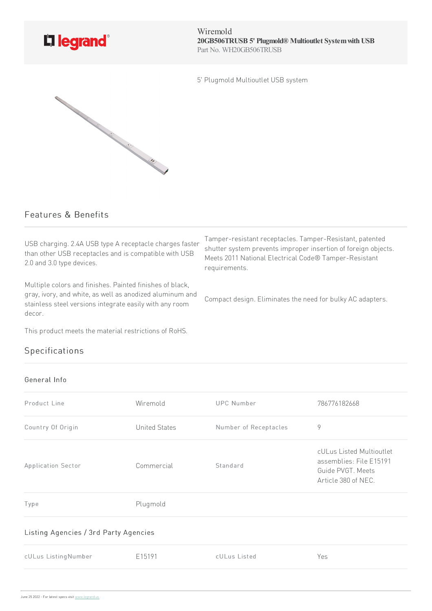

Wiremold **20GB506TRUSB 5' Plugmold® Multioutlet SystemwithUSB** Part No. WH20GB506TRUSB

5' Plugmold Multioutlet USB system



## Features & Benefits

USB charging. 2.4A USB type A receptacle charges faster than other USB receptacles and is compatible with USB 2.0 and 3.0 type devices.

Multiple colors and finishes. Painted finishes of black, gray, ivory, and white, as well as anodized aluminum and stainless steel versions integrate easily with any room decor.

This product meets the material restrictions of RoHS.

## Specifications

## General Info

Product Line **Contract Contract Contract Contract Wiremold** UPC Number 786776182668 Country Of Origin Country Of Origin Country Of Origin Country Of Origin Country Of Origin Country Of Country C Application Sector **Commercial** Standard cULus Listed Multioutlet assemblies: File E15191 Guide PVGT. Meets Article380of NEC. Type Plugmold Listing Agencies / 3rd Party Agencies cULus ListingNumber E15191 cULus Listed Yes

Tamper-resistant receptacles. Tamper-Resistant, patented shutter system prevents improper insertion of foreign objects. Meets 2011 National Electrical Code® Tamper-Resistant requirements.

Compact design. Eliminates the need for bulky AC adapters.